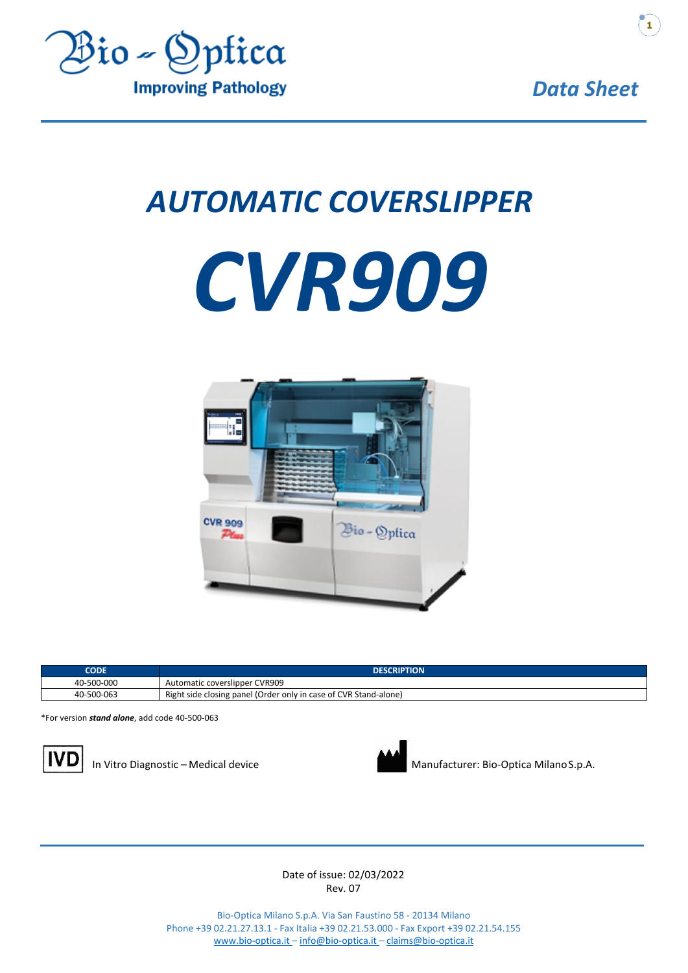

# *AUTOMATIC COVERSLIPPER*





| <b>CODE</b> | <b>DESCRIPTION</b>                                               |
|-------------|------------------------------------------------------------------|
| 40-500-000  | Automatic coverslipper CVR909                                    |
| 40-500-063  | Right side closing panel (Order only in case of CVR Stand-alone) |

\*For version *stand alone*, add code 40-500-063





In Vitro Diagnostic – Medical device Manufacturer: Bio-Optica MilanoS.p.A.

Date of issue: 02/03/2022 Rev. 07

Bio-Optica Milano S.p.A. Via San Faustino 58 - 20134 Milano Phone +39 02.21.27.13.1 - Fax Italia +39 02.21.53.000 - Fax Export +39 02.21.54.155 [www.bio-optica.it –](http://www.bio-optica.it/) [info@bio-optica.it –](mailto:info@bio-optica.it) [claims@bio-optica.it](mailto:claims@bio-optica.it)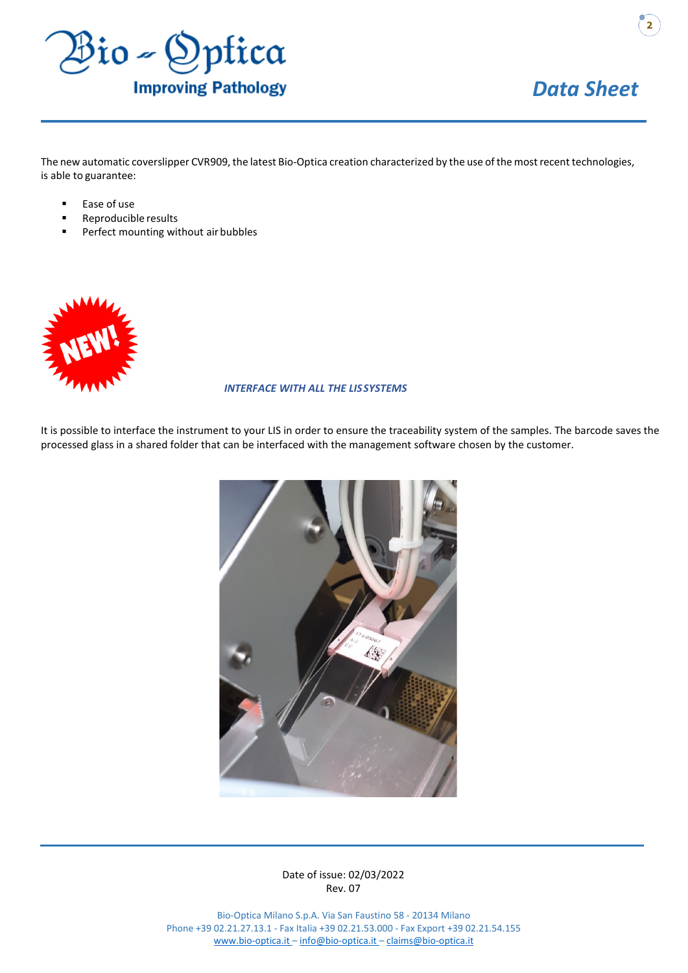

**2**

The new automatic coverslipper CVR909, the latest Bio-Optica creation characterized by the use ofthe mostrecent technologies, is able to guarantee:

- Ease of use
- Reproducible results
- Perfect mounting without air bubbles



#### *INTERFACE WITH ALL THE LISSYSTEMS*

It is possible to interface the instrument to your LIS in order to ensure the traceability system of the samples. The barcode saves the processed glass in a shared folder that can be interfaced with the management software chosen by the customer.

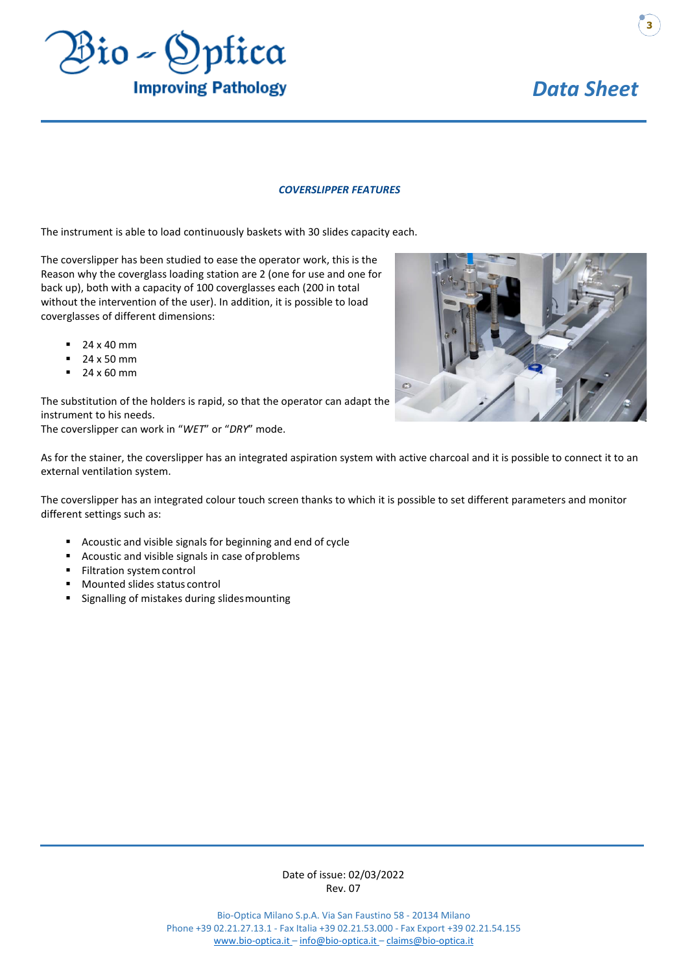

#### *COVERSLIPPER FEATURES*

The instrument is able to load continuously baskets with 30 slides capacity each.

The coverslipper has been studied to ease the operator work, this is the Reason why the coverglass loading station are 2 (one for use and one for back up), both with a capacity of 100 coverglasses each (200 in total without the intervention of the user). In addition, it is possible to load coverglasses of different dimensions:

- 24 x 40 mm
- $-24 \times 50$  mm
- **24 x 60 mm**

The substitution of the holders is rapid, so that the operator can adapt the instrument to his needs. The coverslipper can work in "*WET*" or "*DRY*" mode.



As for the stainer, the coverslipper has an integrated aspiration system with active charcoal and it is possible to connect it to an external ventilation system.

The coverslipper has an integrated colour touch screen thanks to which it is possible to set different parameters and monitor different settings such as:

- Acoustic and visible signals for beginning and end of cycle
- Acoustic and visible signals in case ofproblems
- **Filtration system control**
- Mounted slides status control
- Signalling of mistakes during slidesmounting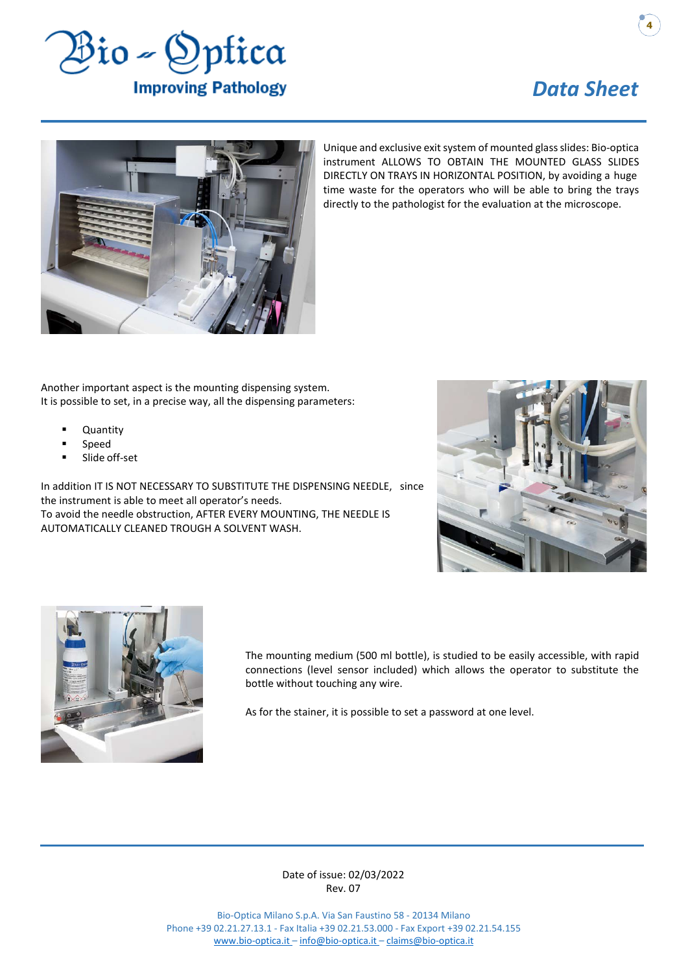

**4**



Unique and exclusive exit system of mounted glass slides: Bio-optica instrument ALLOWS TO OBTAIN THE MOUNTED GLASS SLIDES DIRECTLY ON TRAYS IN HORIZONTAL POSITION, by avoiding a huge time waste for the operators who will be able to bring the trays directly to the pathologist for the evaluation at the microscope.

Another important aspect is the mounting dispensing system. It is possible to set, in a precise way, all the dispensing parameters:

- **Quantity**
- Speed
- Slide off-set

In addition IT IS NOT NECESSARY TO SUBSTITUTE THE DISPENSING NEEDLE, since the instrument is able to meet all operator's needs. To avoid the needle obstruction, AFTER EVERY MOUNTING, THE NEEDLE IS AUTOMATICALLY CLEANED TROUGH A SOLVENT WASH.





The mounting medium (500 ml bottle), is studied to be easily accessible, with rapid connections (level sensor included) which allows the operator to substitute the bottle without touching any wire.

As for the stainer, it is possible to set a password at one level.

Date of issue: 02/03/2022 Rev. 07

Bio-Optica Milano S.p.A. Via San Faustino 58 - 20134 Milano Phone +39 02.21.27.13.1 - Fax Italia +39 02.21.53.000 - Fax Export +39 02.21.54.155 [www.bio-optica.it –](http://www.bio-optica.it/) [info@bio-optica.it –](mailto:info@bio-optica.it) [claims@bio-optica.it](mailto:claims@bio-optica.it)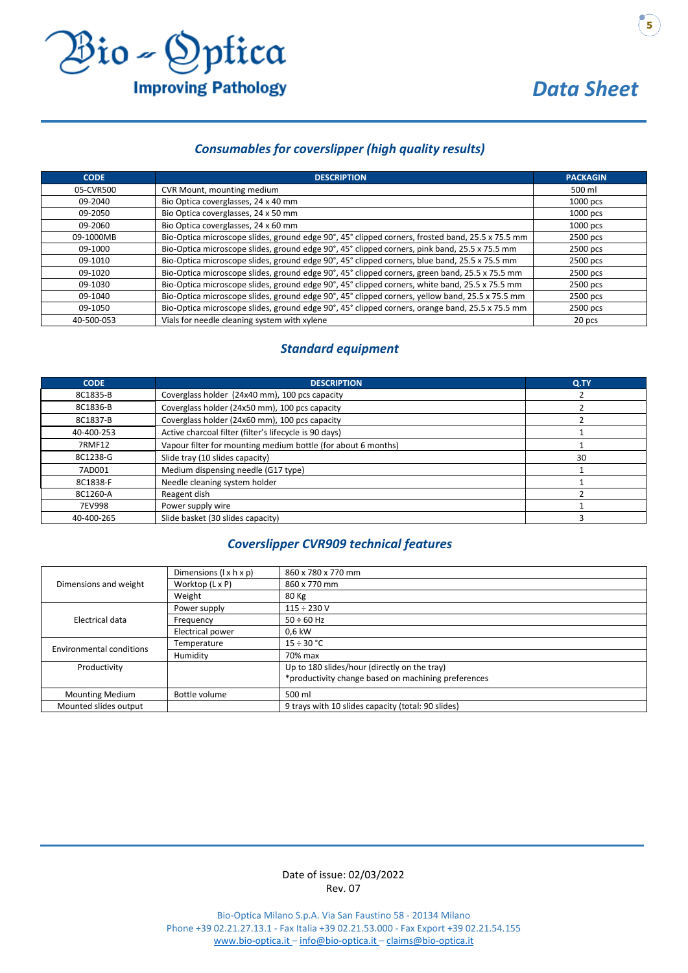

## *Consumables for coverslipper (high quality results)*

| <b>CODE</b> | <b>DESCRIPTION</b>                                                                               | <b>PACKAGIN</b> |  |
|-------------|--------------------------------------------------------------------------------------------------|-----------------|--|
| 05-CVR500   | CVR Mount, mounting medium                                                                       | 500 ml          |  |
| 09-2040     | Bio Optica coverglasses, 24 x 40 mm                                                              | $1000$ pcs      |  |
| 09-2050     | Bio Optica coverglasses, 24 x 50 mm                                                              | 1000 pcs        |  |
| 09-2060     | Bio Optica coverglasses, 24 x 60 mm                                                              | 1000 pcs        |  |
| 09-1000MB   | Bio-Optica microscope slides, ground edge 90°, 45° clipped corners, frosted band, 25.5 x 75.5 mm | 2500 pcs        |  |
| 09-1000     | Bio-Optica microscope slides, ground edge 90°, 45° clipped corners, pink band, 25.5 x 75.5 mm    | 2500 pcs        |  |
| 09-1010     | Bio-Optica microscope slides, ground edge 90°, 45° clipped corners, blue band, 25.5 x 75.5 mm    | 2500 pcs        |  |
| 09-1020     | Bio-Optica microscope slides, ground edge 90°, 45° clipped corners, green band, 25.5 x 75.5 mm   | 2500 pcs        |  |
| 09-1030     | Bio-Optica microscope slides, ground edge 90°, 45° clipped corners, white band, 25.5 x 75.5 mm   | 2500 pcs        |  |
| 09-1040     | Bio-Optica microscope slides, ground edge 90°, 45° clipped corners, yellow band, 25.5 x 75.5 mm  | 2500 pcs        |  |
| 09-1050     | Bio-Optica microscope slides, ground edge 90°, 45° clipped corners, orange band, 25.5 x 75.5 mm  | 2500 pcs        |  |
| 40-500-053  | Vials for needle cleaning system with xylene                                                     | 20 pcs          |  |

## *Standard equipment*

| <b>CODE</b>   | <b>DESCRIPTION</b>                                            | Q.TY |
|---------------|---------------------------------------------------------------|------|
| 8C1835-B      | Coverglass holder (24x40 mm), 100 pcs capacity                |      |
| 8C1836-B      | Coverglass holder (24x50 mm), 100 pcs capacity                |      |
| 8C1837-B      | Coverglass holder (24x60 mm), 100 pcs capacity                |      |
| 40-400-253    | Active charcoal filter (filter's lifecycle is 90 days)        |      |
| <b>7RMF12</b> | Vapour filter for mounting medium bottle (for about 6 months) |      |
| 8C1238-G      | Slide tray (10 slides capacity)                               | 30   |
| 7AD001        | Medium dispensing needle (G17 type)                           |      |
| 8C1838-F      | Needle cleaning system holder                                 |      |
| 8C1260-A      | Reagent dish                                                  |      |
| 7EV998        | Power supply wire                                             |      |
| 40-400-265    | Slide basket (30 slides capacity)                             |      |

### *Coverslipper CVR909 technical features*

|                                 | Dimensions $(1 \times h \times p)$ | 860 x 780 x 770 mm                                  |  |
|---------------------------------|------------------------------------|-----------------------------------------------------|--|
| Dimensions and weight           | Worktop (L x P)                    | 860 x 770 mm                                        |  |
|                                 | Weight                             | 80 Kg                                               |  |
| Electrical data                 | Power supply                       | $115 \div 230$ V                                    |  |
|                                 | Frequency                          | $50 \div 60$ Hz                                     |  |
|                                 | Electrical power                   | 0.6 kW                                              |  |
| <b>Environmental conditions</b> | Temperature                        | $15 \div 30$ °C                                     |  |
|                                 | Humidity                           | 70% max                                             |  |
| Productivity                    |                                    | Up to 180 slides/hour (directly on the tray)        |  |
|                                 |                                    | *productivity change based on machining preferences |  |
| <b>Mounting Medium</b>          | Bottle volume                      | 500 ml                                              |  |
| Mounted slides output           |                                    | 9 trays with 10 slides capacity (total: 90 slides)  |  |